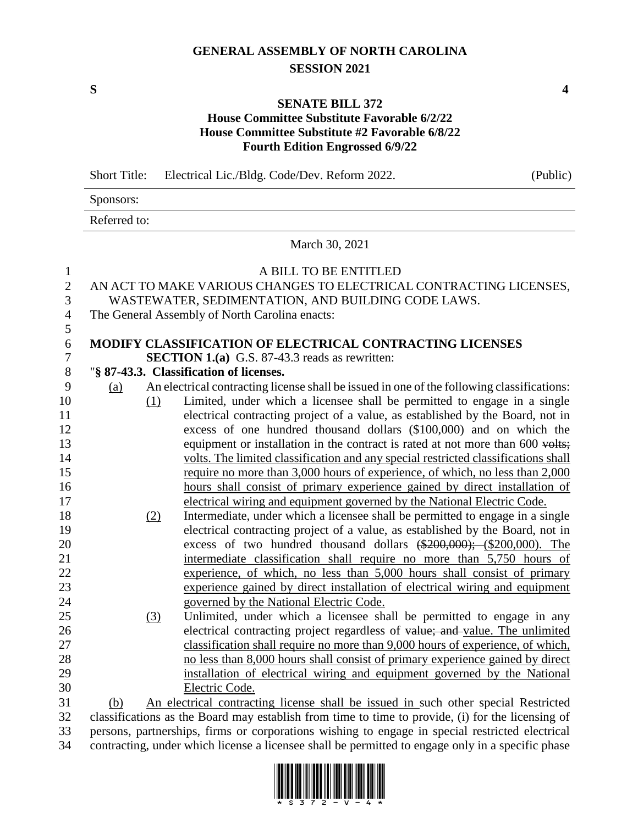# **GENERAL ASSEMBLY OF NORTH CAROLINA SESSION 2021**

## **SENATE BILL 372**

## **House Committee Substitute Favorable 6/2/22 House Committee Substitute #2 Favorable 6/8/22 Fourth Edition Engrossed 6/9/22**

|                | <b>Short Title:</b> | Electrical Lic./Bldg. Code/Dev. Reform 2022.                                                                                                               | (Public) |
|----------------|---------------------|------------------------------------------------------------------------------------------------------------------------------------------------------------|----------|
|                | Sponsors:           |                                                                                                                                                            |          |
|                | Referred to:        |                                                                                                                                                            |          |
|                |                     | March 30, 2021                                                                                                                                             |          |
| $\mathbf{1}$   |                     | A BILL TO BE ENTITLED                                                                                                                                      |          |
| $\mathfrak{2}$ |                     | AN ACT TO MAKE VARIOUS CHANGES TO ELECTRICAL CONTRACTING LICENSES,                                                                                         |          |
| 3              |                     | WASTEWATER, SEDIMENTATION, AND BUILDING CODE LAWS.                                                                                                         |          |
| $\overline{4}$ |                     | The General Assembly of North Carolina enacts:                                                                                                             |          |
| 5<br>6         |                     | MODIFY CLASSIFICATION OF ELECTRICAL CONTRACTING LICENSES                                                                                                   |          |
| $\tau$         |                     | <b>SECTION 1.(a)</b> G.S. 87-43.3 reads as rewritten:                                                                                                      |          |
| $8\,$          |                     | "§ 87-43.3. Classification of licenses.                                                                                                                    |          |
| 9              | (a)                 | An electrical contracting license shall be issued in one of the following classifications:                                                                 |          |
| 10             |                     | Limited, under which a licensee shall be permitted to engage in a single                                                                                   |          |
| 11             | $\Omega$            | electrical contracting project of a value, as established by the Board, not in                                                                             |          |
| 12             |                     | excess of one hundred thousand dollars (\$100,000) and on which the                                                                                        |          |
| 13             |                     | equipment or installation in the contract is rated at not more than 600 volts;                                                                             |          |
| 14             |                     |                                                                                                                                                            |          |
| 15             |                     | volts. The limited classification and any special restricted classifications shall                                                                         |          |
| 16             |                     | require no more than 3,000 hours of experience, of which, no less than 2,000<br>hours shall consist of primary experience gained by direct installation of |          |
| 17             |                     |                                                                                                                                                            |          |
| 18             |                     | electrical wiring and equipment governed by the National Electric Code.<br>Intermediate, under which a licensee shall be permitted to engage in a single   |          |
| 19             | (2)                 | electrical contracting project of a value, as established by the Board, not in                                                                             |          |
|                |                     | excess of two hundred thousand dollars $(*200,000)$ ; $(*200,000)$ . The                                                                                   |          |
| 20             |                     |                                                                                                                                                            |          |
| 21<br>22       |                     | intermediate classification shall require no more than 5,750 hours of<br>experience, of which, no less than 5,000 hours shall consist of primary           |          |
| 23             |                     | experience gained by direct installation of electrical wiring and equipment                                                                                |          |
| 24             |                     | governed by the National Electric Code.                                                                                                                    |          |
| 25             | (3)                 | Unlimited, under which a licensee shall be permitted to engage in any                                                                                      |          |
| 26             |                     | electrical contracting project regardless of value; and value. The unlimited                                                                               |          |
| 27             |                     | classification shall require no more than 9,000 hours of experience, of which,                                                                             |          |
| 28             |                     | no less than 8,000 hours shall consist of primary experience gained by direct                                                                              |          |
| 29             |                     | installation of electrical wiring and equipment governed by the National                                                                                   |          |
| 30             |                     | Electric Code.                                                                                                                                             |          |
| 31             | (b)                 | An electrical contracting license shall be issued in such other special Restricted                                                                         |          |
| 32             |                     | classifications as the Board may establish from time to time to provide, (i) for the licensing of                                                          |          |

 persons, partnerships, firms or corporations wishing to engage in special restricted electrical contracting, under which license a licensee shall be permitted to engage only in a specific phase



**S 4**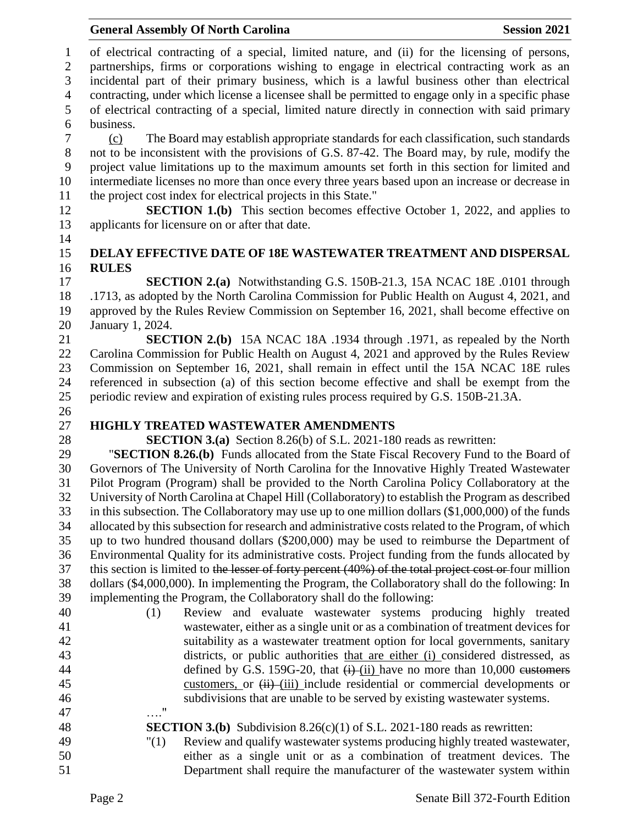of electrical contracting of a special, limited nature, and (ii) for the licensing of persons, partnerships, firms or corporations wishing to engage in electrical contracting work as an incidental part of their primary business, which is a lawful business other than electrical contracting, under which license a licensee shall be permitted to engage only in a specific phase of electrical contracting of a special, limited nature directly in connection with said primary business.

 (c) The Board may establish appropriate standards for each classification, such standards not to be inconsistent with the provisions of G.S. 87-42. The Board may, by rule, modify the project value limitations up to the maximum amounts set forth in this section for limited and intermediate licenses no more than once every three years based upon an increase or decrease in the project cost index for electrical projects in this State."

**SECTION 1.(b)** This section becomes effective October 1, 2022, and applies to applicants for licensure on or after that date.

## **DELAY EFFECTIVE DATE OF 18E WASTEWATER TREATMENT AND DISPERSAL RULES**

 **SECTION 2.(a)** Notwithstanding G.S. 150B-21.3, 15A NCAC 18E .0101 through .1713, as adopted by the North Carolina Commission for Public Health on August 4, 2021, and approved by the Rules Review Commission on September 16, 2021, shall become effective on January 1, 2024.

 **SECTION 2.(b)** 15A NCAC 18A .1934 through .1971, as repealed by the North Carolina Commission for Public Health on August 4, 2021 and approved by the Rules Review Commission on September 16, 2021, shall remain in effect until the 15A NCAC 18E rules referenced in subsection (a) of this section become effective and shall be exempt from the periodic review and expiration of existing rules process required by G.S. 150B-21.3A.

# 

# **HIGHLY TREATED WASTEWATER AMENDMENTS**

**SECTION 3.(a)** Section 8.26(b) of S.L. 2021-180 reads as rewritten:

 "**SECTION 8.26.(b)** Funds allocated from the State Fiscal Recovery Fund to the Board of Governors of The University of North Carolina for the Innovative Highly Treated Wastewater Pilot Program (Program) shall be provided to the North Carolina Policy Collaboratory at the University of North Carolina at Chapel Hill (Collaboratory) to establish the Program as described in this subsection. The Collaboratory may use up to one million dollars (\$1,000,000) of the funds allocated by this subsection for research and administrative costs related to the Program, of which up to two hundred thousand dollars (\$200,000) may be used to reimburse the Department of Environmental Quality for its administrative costs. Project funding from the funds allocated by 37 this section is limited to the lesser of forty percent (40%) of the total project cost or four million dollars (\$4,000,000). In implementing the Program, the Collaboratory shall do the following: In implementing the Program, the Collaboratory shall do the following:

 (1) Review and evaluate wastewater systems producing highly treated wastewater, either as a single unit or as a combination of treatment devices for suitability as a wastewater treatment option for local governments, sanitary districts, or public authorities that are either (i) considered distressed, as 44 defined by G.S. 159G-20, that  $(i)$ -(ii) have no more than 10,000 eustomers 45 customers, or  $\overrightarrow{H}$  (iii) include residential or commercial developments or subdivisions that are unable to be served by existing wastewater systems. …."

#### **SECTION 3.(b)** Subdivision 8.26(c)(1) of S.L. 2021-180 reads as rewritten: "(1) Review and qualify wastewater systems producing highly treated wastewater,

 either as a single unit or as a combination of treatment devices. The Department shall require the manufacturer of the wastewater system within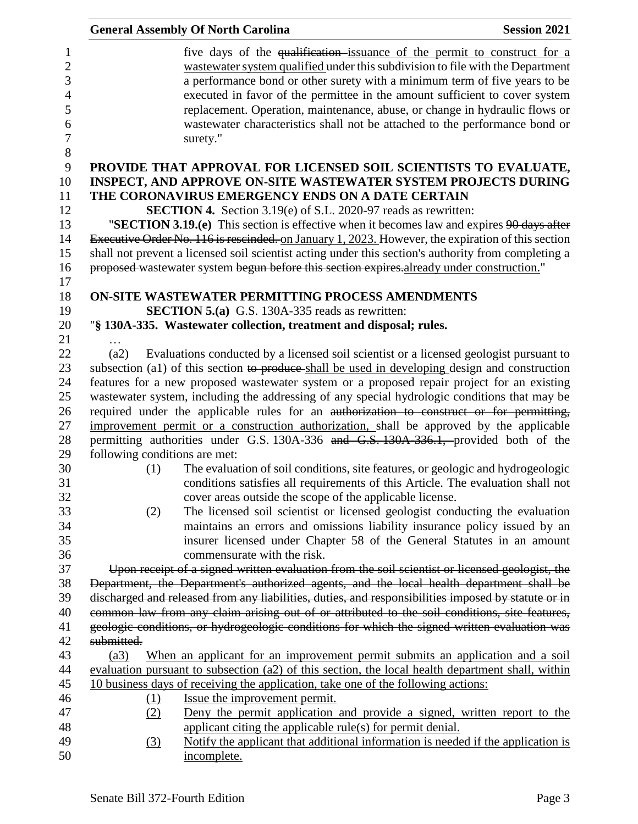|                                                                   |                               | <b>General Assembly Of North Carolina</b>                                                                                                                                                                                                                                                                                                                                                                                                                                                         | <b>Session 2021</b> |
|-------------------------------------------------------------------|-------------------------------|---------------------------------------------------------------------------------------------------------------------------------------------------------------------------------------------------------------------------------------------------------------------------------------------------------------------------------------------------------------------------------------------------------------------------------------------------------------------------------------------------|---------------------|
| $\overline{c}$<br>3<br>$\overline{4}$<br>6<br>$\overline{7}$<br>8 |                               | five days of the qualification issuance of the permit to construct for a<br>wastewater system qualified under this subdivision to file with the Department<br>a performance bond or other surety with a minimum term of five years to be<br>executed in favor of the permittee in the amount sufficient to cover system<br>replacement. Operation, maintenance, abuse, or change in hydraulic flows or<br>wastewater characteristics shall not be attached to the performance bond or<br>surety." |                     |
| 9                                                                 |                               | PROVIDE THAT APPROVAL FOR LICENSED SOIL SCIENTISTS TO EVALUATE,                                                                                                                                                                                                                                                                                                                                                                                                                                   |                     |
| 10                                                                |                               | <b>INSPECT, AND APPROVE ON-SITE WASTEWATER SYSTEM PROJECTS DURING</b>                                                                                                                                                                                                                                                                                                                                                                                                                             |                     |
|                                                                   |                               | THE CORONAVIRUS EMERGENCY ENDS ON A DATE CERTAIN                                                                                                                                                                                                                                                                                                                                                                                                                                                  |                     |
| 12                                                                |                               | <b>SECTION 4.</b> Section 3.19(e) of S.L. 2020-97 reads as rewritten:                                                                                                                                                                                                                                                                                                                                                                                                                             |                     |
| 13                                                                |                               | "SECTION 3.19.(e) This section is effective when it becomes law and expires $90 \text{ days after}$                                                                                                                                                                                                                                                                                                                                                                                               |                     |
| 14                                                                |                               | Executive Order No. 116 is rescinded. on January 1, 2023. However, the expiration of this section                                                                                                                                                                                                                                                                                                                                                                                                 |                     |
| 15                                                                |                               | shall not prevent a licensed soil scientist acting under this section's authority from completing a                                                                                                                                                                                                                                                                                                                                                                                               |                     |
| 16                                                                |                               | proposed-wastewater system begun before this section expires.already under construction."                                                                                                                                                                                                                                                                                                                                                                                                         |                     |
| 17                                                                |                               |                                                                                                                                                                                                                                                                                                                                                                                                                                                                                                   |                     |
| 18<br>19                                                          |                               | ON-SITE WASTEWATER PERMITTING PROCESS AMENDMENTS<br><b>SECTION 5.(a)</b> G.S. 130A-335 reads as rewritten:                                                                                                                                                                                                                                                                                                                                                                                        |                     |
| 20                                                                |                               | "§ 130A-335. Wastewater collection, treatment and disposal; rules.                                                                                                                                                                                                                                                                                                                                                                                                                                |                     |
| 21                                                                |                               |                                                                                                                                                                                                                                                                                                                                                                                                                                                                                                   |                     |
| 22                                                                | (a2)                          | Evaluations conducted by a licensed soil scientist or a licensed geologist pursuant to                                                                                                                                                                                                                                                                                                                                                                                                            |                     |
|                                                                   |                               | subsection (a1) of this section to produce shall be used in developing design and construction                                                                                                                                                                                                                                                                                                                                                                                                    |                     |
|                                                                   |                               | features for a new proposed wastewater system or a proposed repair project for an existing                                                                                                                                                                                                                                                                                                                                                                                                        |                     |
|                                                                   |                               | wastewater system, including the addressing of any special hydrologic conditions that may be                                                                                                                                                                                                                                                                                                                                                                                                      |                     |
|                                                                   |                               | required under the applicable rules for an authorization to construct or for permitting,                                                                                                                                                                                                                                                                                                                                                                                                          |                     |
|                                                                   |                               | improvement permit or a construction authorization, shall be approved by the applicable                                                                                                                                                                                                                                                                                                                                                                                                           |                     |
|                                                                   |                               | permitting authorities under G.S. 130A-336 and G.S. 130A-336.1, provided both of the                                                                                                                                                                                                                                                                                                                                                                                                              |                     |
|                                                                   | following conditions are met: |                                                                                                                                                                                                                                                                                                                                                                                                                                                                                                   |                     |
|                                                                   | (1)                           | The evaluation of soil conditions, site features, or geologic and hydrogeologic                                                                                                                                                                                                                                                                                                                                                                                                                   |                     |
|                                                                   |                               | conditions satisfies all requirements of this Article. The evaluation shall not                                                                                                                                                                                                                                                                                                                                                                                                                   |                     |
|                                                                   |                               | cover areas outside the scope of the applicable license.<br>The licensed soil scientist or licensed geologist conducting the evaluation                                                                                                                                                                                                                                                                                                                                                           |                     |
|                                                                   | (2)                           | maintains an errors and omissions liability insurance policy issued by an                                                                                                                                                                                                                                                                                                                                                                                                                         |                     |
|                                                                   |                               | insurer licensed under Chapter 58 of the General Statutes in an amount                                                                                                                                                                                                                                                                                                                                                                                                                            |                     |
|                                                                   |                               | commensurate with the risk.                                                                                                                                                                                                                                                                                                                                                                                                                                                                       |                     |
|                                                                   |                               | Upon receipt of a signed written evaluation from the soil scientist or licensed geologist, the                                                                                                                                                                                                                                                                                                                                                                                                    |                     |
|                                                                   |                               | Department, the Department's authorized agents, and the local health department shall be                                                                                                                                                                                                                                                                                                                                                                                                          |                     |
|                                                                   |                               | discharged and released from any liabilities, duties, and responsibilities imposed by statute or in                                                                                                                                                                                                                                                                                                                                                                                               |                     |
|                                                                   |                               | common law from any claim arising out of or attributed to the soil conditions, site features,                                                                                                                                                                                                                                                                                                                                                                                                     |                     |
|                                                                   |                               | geologic conditions, or hydrogeologic conditions for which the signed written evaluation was                                                                                                                                                                                                                                                                                                                                                                                                      |                     |
|                                                                   | submitted.                    |                                                                                                                                                                                                                                                                                                                                                                                                                                                                                                   |                     |
|                                                                   | (a3)                          | When an applicant for an improvement permit submits an application and a soil                                                                                                                                                                                                                                                                                                                                                                                                                     |                     |
|                                                                   |                               | evaluation pursuant to subsection (a2) of this section, the local health department shall, within                                                                                                                                                                                                                                                                                                                                                                                                 |                     |
|                                                                   |                               | 10 business days of receiving the application, take one of the following actions:                                                                                                                                                                                                                                                                                                                                                                                                                 |                     |
|                                                                   | (1)                           | Issue the improvement permit.                                                                                                                                                                                                                                                                                                                                                                                                                                                                     |                     |
|                                                                   | (2)                           | Deny the permit application and provide a signed, written report to the<br>applicant citing the applicable rule(s) for permit denial.                                                                                                                                                                                                                                                                                                                                                             |                     |
|                                                                   | (3)                           | Notify the applicant that additional information is needed if the application is                                                                                                                                                                                                                                                                                                                                                                                                                  |                     |
|                                                                   |                               | incomplete.                                                                                                                                                                                                                                                                                                                                                                                                                                                                                       |                     |
|                                                                   |                               |                                                                                                                                                                                                                                                                                                                                                                                                                                                                                                   |                     |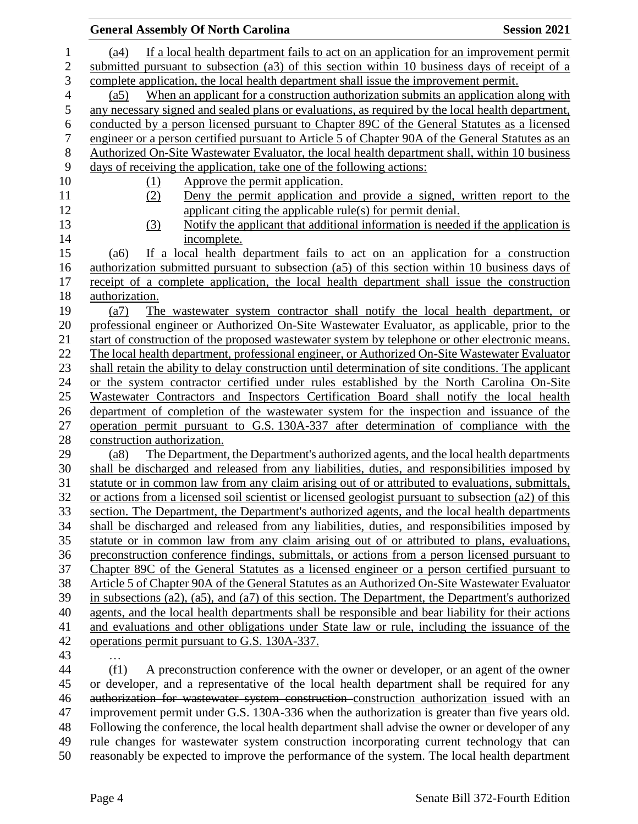|                  | <b>General Assembly Of North Carolina</b><br><b>Session 2021</b>                                                                                                                                     |  |
|------------------|------------------------------------------------------------------------------------------------------------------------------------------------------------------------------------------------------|--|
| $\mathbf{1}$     | If a local health department fails to act on an application for an improvement permit<br>(a4)                                                                                                        |  |
| $\sqrt{2}$       | submitted pursuant to subsection (a3) of this section within 10 business days of receipt of a                                                                                                        |  |
| 3                | complete application, the local health department shall issue the improvement permit.                                                                                                                |  |
| $\overline{4}$   | When an applicant for a construction authorization submits an application along with<br>(a5)                                                                                                         |  |
| 5                | any necessary signed and sealed plans or evaluations, as required by the local health department,                                                                                                    |  |
| $\boldsymbol{6}$ | conducted by a person licensed pursuant to Chapter 89C of the General Statutes as a licensed                                                                                                         |  |
| $\boldsymbol{7}$ | engineer or a person certified pursuant to Article 5 of Chapter 90A of the General Statutes as an                                                                                                    |  |
| $\, 8$           | Authorized On-Site Wastewater Evaluator, the local health department shall, within 10 business                                                                                                       |  |
| 9                | days of receiving the application, take one of the following actions:                                                                                                                                |  |
| 10               | Approve the permit application.<br>(1)                                                                                                                                                               |  |
| 11               | Deny the permit application and provide a signed, written report to the<br>(2)                                                                                                                       |  |
| 12               | applicant citing the applicable rule(s) for permit denial.                                                                                                                                           |  |
| 13               | Notify the applicant that additional information is needed if the application is<br>(3)                                                                                                              |  |
| 14               | incomplete.                                                                                                                                                                                          |  |
| 15               | If a local health department fails to act on an application for a construction<br>(a6)                                                                                                               |  |
| 16               | authorization submitted pursuant to subsection (a5) of this section within 10 business days of                                                                                                       |  |
| 17               | receipt of a complete application, the local health department shall issue the construction                                                                                                          |  |
| 18               | authorization.                                                                                                                                                                                       |  |
| 19               | The was tewater system contractor shall notify the local health department, or<br>(a7)                                                                                                               |  |
| 20               | professional engineer or Authorized On-Site Wastewater Evaluator, as applicable, prior to the                                                                                                        |  |
| 21               | start of construction of the proposed wastewater system by telephone or other electronic means.                                                                                                      |  |
| 22               | The local health department, professional engineer, or Authorized On-Site Wastewater Evaluator                                                                                                       |  |
| 23               | shall retain the ability to delay construction until determination of site conditions. The applicant                                                                                                 |  |
| 24               | or the system contractor certified under rules established by the North Carolina On-Site                                                                                                             |  |
| 25               | Wastewater Contractors and Inspectors Certification Board shall notify the local health                                                                                                              |  |
| 26               | department of completion of the wastewater system for the inspection and issuance of the                                                                                                             |  |
| 27               | operation permit pursuant to G.S. 130A-337 after determination of compliance with the                                                                                                                |  |
| $28\,$           | construction authorization.                                                                                                                                                                          |  |
| 29               | The Department, the Department's authorized agents, and the local health departments<br>(a8)                                                                                                         |  |
| 30               | shall be discharged and released from any liabilities, duties, and responsibilities imposed by                                                                                                       |  |
| 31<br>32         | statute or in common law from any claim arising out of or attributed to evaluations, submittals,                                                                                                     |  |
| 33               | or actions from a licensed soil scientist or licensed geologist pursuant to subsection (a2) of this<br>section. The Department, the Department's authorized agents, and the local health departments |  |
| 34               | shall be discharged and released from any liabilities, duties, and responsibilities imposed by                                                                                                       |  |
| 35               | statute or in common law from any claim arising out of or attributed to plans, evaluations,                                                                                                          |  |
| 36               | preconstruction conference findings, submittals, or actions from a person licensed pursuant to                                                                                                       |  |
| 37               | Chapter 89C of the General Statutes as a licensed engineer or a person certified pursuant to                                                                                                         |  |
| 38               | Article 5 of Chapter 90A of the General Statutes as an Authorized On-Site Wastewater Evaluator                                                                                                       |  |
| 39               | in subsections (a2), (a5), and (a7) of this section. The Department, the Department's authorized                                                                                                     |  |
| 40               | agents, and the local health departments shall be responsible and bear liability for their actions                                                                                                   |  |
| 41               | and evaluations and other obligations under State law or rule, including the issuance of the                                                                                                         |  |
| 42               | operations permit pursuant to G.S. 130A-337.                                                                                                                                                         |  |
| 43               |                                                                                                                                                                                                      |  |
| 44               | (f1)<br>A preconstruction conference with the owner or developer, or an agent of the owner                                                                                                           |  |
| 45               | or developer, and a representative of the local health department shall be required for any                                                                                                          |  |
| 46               | authorization for wastewater system construction construction authorization issued with an                                                                                                           |  |
| 47               | improvement permit under G.S. 130A-336 when the authorization is greater than five years old.                                                                                                        |  |
| 48               | Following the conference, the local health department shall advise the owner or developer of any                                                                                                     |  |
| 49               | rule changes for wastewater system construction incorporating current technology that can                                                                                                            |  |
| 50               | reasonably be expected to improve the performance of the system. The local health department                                                                                                         |  |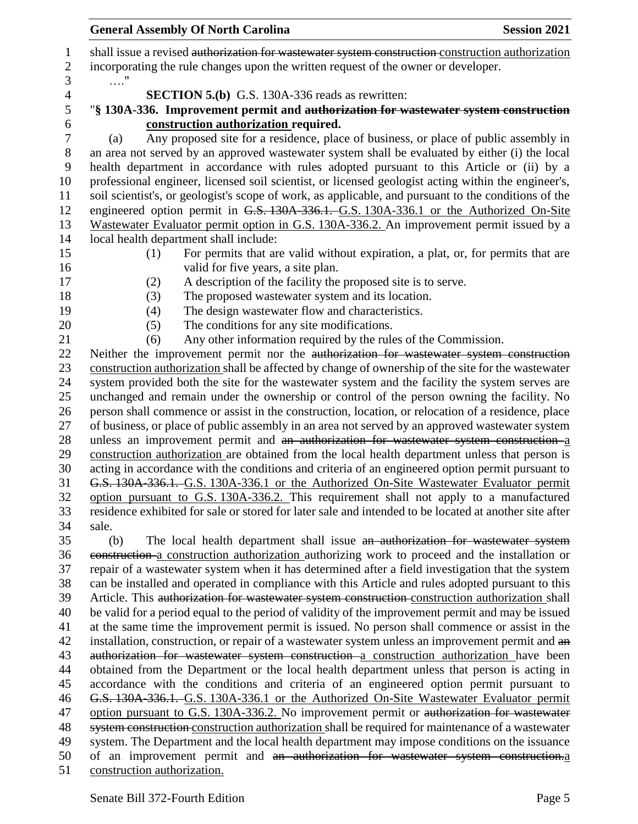1 shall issue a revised authorization for wastewater system construction construction authorization incorporating the rule changes upon the written request of the owner or developer. …." **SECTION 5.(b)** G.S. 130A-336 reads as rewritten: "**§ 130A-336. Improvement permit and authorization for wastewater system construction construction authorization required.** (a) Any proposed site for a residence, place of business, or place of public assembly in an area not served by an approved wastewater system shall be evaluated by either (i) the local health department in accordance with rules adopted pursuant to this Article or (ii) by a professional engineer, licensed soil scientist, or licensed geologist acting within the engineer's, soil scientist's, or geologist's scope of work, as applicable, and pursuant to the conditions of the 12 engineered option permit in G.S. 130A-336.1. G.S. 130A-336.1 or the Authorized On-Site Wastewater Evaluator permit option in G.S. 130A-336.2. An improvement permit issued by a local health department shall include: (1) For permits that are valid without expiration, a plat, or, for permits that are 16 valid for five years, a site plan. (2) A description of the facility the proposed site is to serve. (3) The proposed wastewater system and its location. (4) The design wastewater flow and characteristics. (5) The conditions for any site modifications. (6) Any other information required by the rules of the Commission. 22 Neither the improvement permit nor the authorization for wastewater system construction construction authorization shall be affected by change of ownership of the site for the wastewater system provided both the site for the wastewater system and the facility the system serves are unchanged and remain under the ownership or control of the person owning the facility. No person shall commence or assist in the construction, location, or relocation of a residence, place of business, or place of public assembly in an area not served by an approved wastewater system 28 unless an improvement permit and an authorization for wastewater system construction a construction authorization are obtained from the local health department unless that person is acting in accordance with the conditions and criteria of an engineered option permit pursuant to G.S. 130A-336.1. G.S. 130A-336.1 or the Authorized On-Site Wastewater Evaluator permit option pursuant to G.S. 130A-336.2. This requirement shall not apply to a manufactured residence exhibited for sale or stored for later sale and intended to be located at another site after sale. (b) The local health department shall issue an authorization for wastewater system construction a construction authorization authorizing work to proceed and the installation or repair of a wastewater system when it has determined after a field investigation that the system can be installed and operated in compliance with this Article and rules adopted pursuant to this Article. This authorization for wastewater system construction construction authorization shall be valid for a period equal to the period of validity of the improvement permit and may be issued at the same time the improvement permit is issued. No person shall commence or assist in the 42 installation, construction, or repair of a wastewater system unless an improvement permit and an authorization for wastewater system construction a construction authorization have been obtained from the Department or the local health department unless that person is acting in accordance with the conditions and criteria of an engineered option permit pursuant to G.S. 130A-336.1. G.S. 130A-336.1 or the Authorized On-Site Wastewater Evaluator permit 47 option pursuant to G.S. 130A-336.2. No improvement permit or authorization for wastewater 48 system construction construction authorization shall be required for maintenance of a wastewater system. The Department and the local health department may impose conditions on the issuance of an improvement permit and an authorization for wastewater system construction.a construction authorization.

**General Assembly Of North Carolina Session 2021**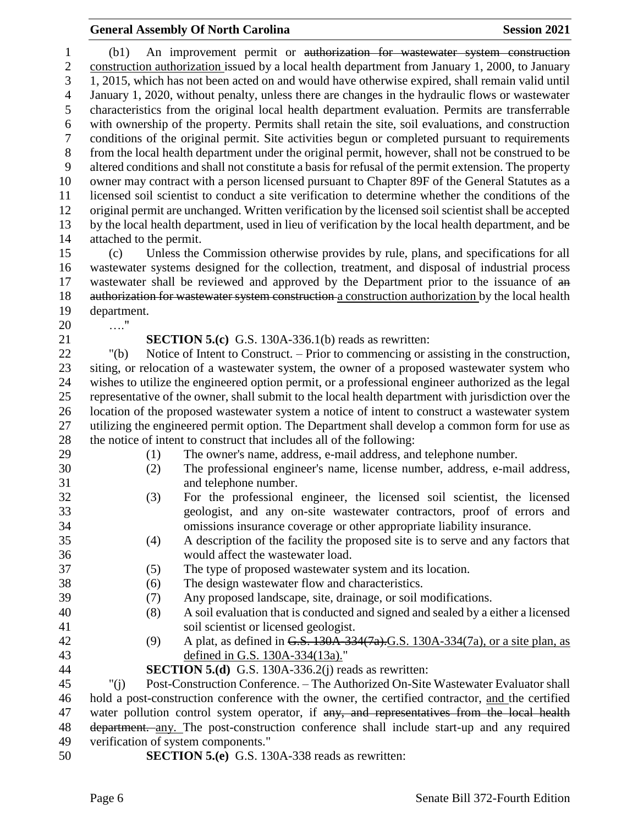### **General Assembly Of North Carolina Session 2021**

 (b1) An improvement permit or authorization for wastewater system construction construction authorization issued by a local health department from January 1, 2000, to January 1, 2015, which has not been acted on and would have otherwise expired, shall remain valid until January 1, 2020, without penalty, unless there are changes in the hydraulic flows or wastewater characteristics from the original local health department evaluation. Permits are transferrable with ownership of the property. Permits shall retain the site, soil evaluations, and construction conditions of the original permit. Site activities begun or completed pursuant to requirements from the local health department under the original permit, however, shall not be construed to be altered conditions and shall not constitute a basis for refusal of the permit extension. The property owner may contract with a person licensed pursuant to Chapter 89F of the General Statutes as a licensed soil scientist to conduct a site verification to determine whether the conditions of the original permit are unchanged. Written verification by the licensed soil scientist shall be accepted by the local health department, used in lieu of verification by the local health department, and be attached to the permit. (c) Unless the Commission otherwise provides by rule, plans, and specifications for all

 wastewater systems designed for the collection, treatment, and disposal of industrial process 17 wastewater shall be reviewed and approved by the Department prior to the issuance of  $\theta$ 18 authorization for wastewater system construction a construction authorization by the local health department.

- …."
- 

**SECTION 5.(c)** G.S. 130A-336.1(b) reads as rewritten:

 "(b) Notice of Intent to Construct. – Prior to commencing or assisting in the construction, siting, or relocation of a wastewater system, the owner of a proposed wastewater system who wishes to utilize the engineered option permit, or a professional engineer authorized as the legal representative of the owner, shall submit to the local health department with jurisdiction over the location of the proposed wastewater system a notice of intent to construct a wastewater system utilizing the engineered permit option. The Department shall develop a common form for use as the notice of intent to construct that includes all of the following:

- 
- (1) The owner's name, address, e-mail address, and telephone number.
- 
- (2) The professional engineer's name, license number, address, e-mail address,
- and telephone number.
- (3) For the professional engineer, the licensed soil scientist, the licensed geologist, and any on-site wastewater contractors, proof of errors and omissions insurance coverage or other appropriate liability insurance.
- (4) A description of the facility the proposed site is to serve and any factors that would affect the wastewater load.
- (5) The type of proposed wastewater system and its location.

(6) The design wastewater flow and characteristics.

- 
- 
- (7) Any proposed landscape, site, drainage, or soil modifications.
- (8) A soil evaluation that is conducted and signed and sealed by a either a licensed soil scientist or licensed geologist.
- (9) A plat, as defined in G.S. 130A-334(7a).G.S. 130A-334(7a), or a site plan, as defined in G.S. 130A-334(13a)."
- **SECTION 5.(d)** G.S. 130A-336.2(j) reads as rewritten:

 "(j) Post-Construction Conference. – The Authorized On-Site Wastewater Evaluator shall hold a post-construction conference with the owner, the certified contractor, and the certified 47 water pollution control system operator, if any, and representatives from the local health department. any. The post-construction conference shall include start-up and any required verification of system components."

**SECTION 5.(e)** G.S. 130A-338 reads as rewritten: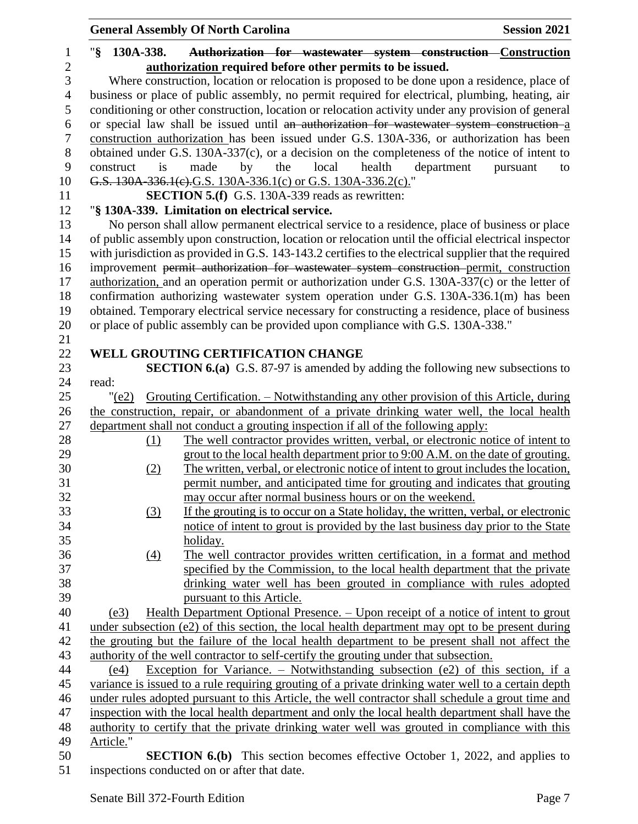|                | <b>General Assembly Of North Carolina</b>                                                              | <b>Session 2021</b> |
|----------------|--------------------------------------------------------------------------------------------------------|---------------------|
| 1              | " $\S$<br>Authorization for wastewater system construction Construction<br>130A-338.                   |                     |
| $\overline{2}$ | authorization required before other permits to be issued.                                              |                     |
| 3              | Where construction, location or relocation is proposed to be done upon a residence, place of           |                     |
| $\overline{4}$ | business or place of public assembly, no permit required for electrical, plumbing, heating, air        |                     |
| 5              | conditioning or other construction, location or relocation activity under any provision of general     |                     |
| 6              | or special law shall be issued until an authorization for wastewater system construction a             |                     |
| 7              | construction authorization has been issued under G.S. 130A-336, or authorization has been              |                     |
| $8\,$          | obtained under G.S. 130A-337(c), or a decision on the completeness of the notice of intent to          |                     |
| 9              | local<br>health<br>construct is<br>made<br>by<br>the<br>department                                     | pursuant<br>to      |
| 10             | G.S. 130A-336.1(e).G.S. 130A-336.1(c) or G.S. 130A-336.2(c)."                                          |                     |
| 11             | <b>SECTION 5.(f)</b> G.S. 130A-339 reads as rewritten:                                                 |                     |
| 12             | "§ 130A-339. Limitation on electrical service.                                                         |                     |
| 13             | No person shall allow permanent electrical service to a residence, place of business or place          |                     |
| 14             | of public assembly upon construction, location or relocation until the official electrical inspector   |                     |
| 15             | with jurisdiction as provided in G.S. 143-143.2 certifies to the electrical supplier that the required |                     |
| 16             | improvement permit authorization for wastewater system construction permit, construction               |                     |
| 17             | authorization, and an operation permit or authorization under G.S. 130A-337(c) or the letter of        |                     |
| 18             | confirmation authorizing wastewater system operation under G.S. 130A-336.1(m) has been                 |                     |
| 19             | obtained. Temporary electrical service necessary for constructing a residence, place of business       |                     |
| 20             | or place of public assembly can be provided upon compliance with G.S. 130A-338."                       |                     |
| 21             |                                                                                                        |                     |
| 22             | WELL GROUTING CERTIFICATION CHANGE                                                                     |                     |
| 23             | SECTION 6.(a) G.S. 87-97 is amended by adding the following new subsections to                         |                     |
| 24             | read:                                                                                                  |                     |
| 25             | Grouting Certification. - Notwithstanding any other provision of this Article, during<br>" $(e2)$      |                     |
| 26             | the construction, repair, or abandonment of a private drinking water well, the local health            |                     |
| 27             | department shall not conduct a grouting inspection if all of the following apply:                      |                     |
| 28             | The well contractor provides written, verbal, or electronic notice of intent to<br>(1)                 |                     |
| 29             | grout to the local health department prior to 9:00 A.M. on the date of grouting.                       |                     |
| 30             | The written, verbal, or electronic notice of intent to grout includes the location,<br>(2)             |                     |
| 31             | permit number, and anticipated time for grouting and indicates that grouting                           |                     |
| 32             | may occur after normal business hours or on the weekend.                                               |                     |
| 33             | If the grouting is to occur on a State holiday, the written, verbal, or electronic<br>(3)              |                     |
| 34             | notice of intent to grout is provided by the last business day prior to the State                      |                     |
| 35             | holiday.                                                                                               |                     |
| 36             | The well contractor provides written certification, in a format and method<br>$\left(4\right)$         |                     |
| 37             | specified by the Commission, to the local health department that the private                           |                     |
| 38             | drinking water well has been grouted in compliance with rules adopted                                  |                     |
| 39             | pursuant to this Article.                                                                              |                     |
| 40             | Health Department Optional Presence. - Upon receipt of a notice of intent to grout<br>(e3)             |                     |
| 41             | under subsection (e2) of this section, the local health department may opt to be present during        |                     |
| 42             | the grouting but the failure of the local health department to be present shall not affect the         |                     |
| 43             | authority of the well contractor to self-certify the grouting under that subsection.                   |                     |
| 44             | Exception for Variance. – Notwithstanding subsection (e2) of this section, if a<br>(e4)                |                     |
| 45             | variance is issued to a rule requiring grouting of a private drinking water well to a certain depth    |                     |
| 46             | under rules adopted pursuant to this Article, the well contractor shall schedule a grout time and      |                     |
| 47             | inspection with the local health department and only the local health department shall have the        |                     |
| 48             | authority to certify that the private drinking water well was grouted in compliance with this          |                     |
| 49             | Article."                                                                                              |                     |
| 50             | <b>SECTION 6.(b)</b> This section becomes effective October 1, 2022, and applies to                    |                     |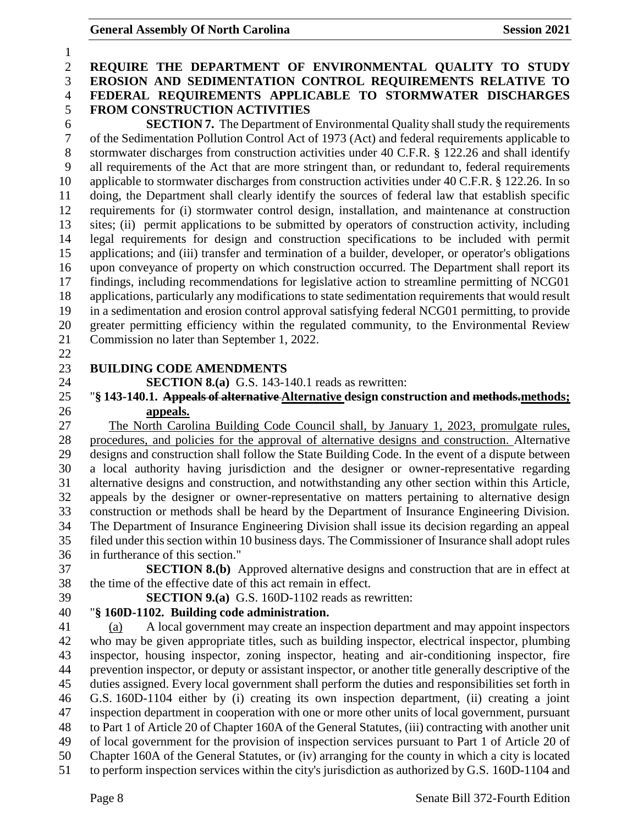## **REQUIRE THE DEPARTMENT OF ENVIRONMENTAL QUALITY TO STUDY EROSION AND SEDIMENTATION CONTROL REQUIREMENTS RELATIVE TO FEDERAL REQUIREMENTS APPLICABLE TO STORMWATER DISCHARGES FROM CONSTRUCTION ACTIVITIES SECTION 7.** The Department of Environmental Quality shall study the requirements of the Sedimentation Pollution Control Act of 1973 (Act) and federal requirements applicable to stormwater discharges from construction activities under 40 C.F.R. § 122.26 and shall identify all requirements of the Act that are more stringent than, or redundant to, federal requirements applicable to stormwater discharges from construction activities under 40 C.F.R. § 122.26. In so doing, the Department shall clearly identify the sources of federal law that establish specific requirements for (i) stormwater control design, installation, and maintenance at construction sites; (ii) permit applications to be submitted by operators of construction activity, including legal requirements for design and construction specifications to be included with permit applications; and (iii) transfer and termination of a builder, developer, or operator's obligations upon conveyance of property on which construction occurred. The Department shall report its findings, including recommendations for legislative action to streamline permitting of NCG01 applications, particularly any modifications to state sedimentation requirements that would result in a sedimentation and erosion control approval satisfying federal NCG01 permitting, to provide greater permitting efficiency within the regulated community, to the Environmental Review Commission no later than September 1, 2022. **BUILDING CODE AMENDMENTS SECTION 8.(a)** G.S. 143-140.1 reads as rewritten: "**§ 143-140.1. Appeals of alternative Alternative design construction and methods.methods; appeals.** The North Carolina Building Code Council shall, by January 1, 2023, promulgate rules, procedures, and policies for the approval of alternative designs and construction. Alternative designs and construction shall follow the State Building Code. In the event of a dispute between a local authority having jurisdiction and the designer or owner-representative regarding alternative designs and construction, and notwithstanding any other section within this Article, appeals by the designer or owner-representative on matters pertaining to alternative design construction or methods shall be heard by the Department of Insurance Engineering Division. The Department of Insurance Engineering Division shall issue its decision regarding an appeal filed under this section within 10 business days. The Commissioner of Insurance shall adopt rules in furtherance of this section." **SECTION 8.(b)** Approved alternative designs and construction that are in effect at the time of the effective date of this act remain in effect. **SECTION 9.(a)** G.S. 160D-1102 reads as rewritten: "**§ 160D-1102. Building code administration.** (a) A local government may create an inspection department and may appoint inspectors who may be given appropriate titles, such as building inspector, electrical inspector, plumbing inspector, housing inspector, zoning inspector, heating and air-conditioning inspector, fire prevention inspector, or deputy or assistant inspector, or another title generally descriptive of the duties assigned. Every local government shall perform the duties and responsibilities set forth in G.S. 160D-1104 either by (i) creating its own inspection department, (ii) creating a joint inspection department in cooperation with one or more other units of local government, pursuant to Part 1 of Article 20 of Chapter 160A of the General Statutes, (iii) contracting with another unit of local government for the provision of inspection services pursuant to Part 1 of Article 20 of Chapter 160A of the General Statutes, or (iv) arranging for the county in which a city is located to perform inspection services within the city's jurisdiction as authorized by G.S. 160D-1104 and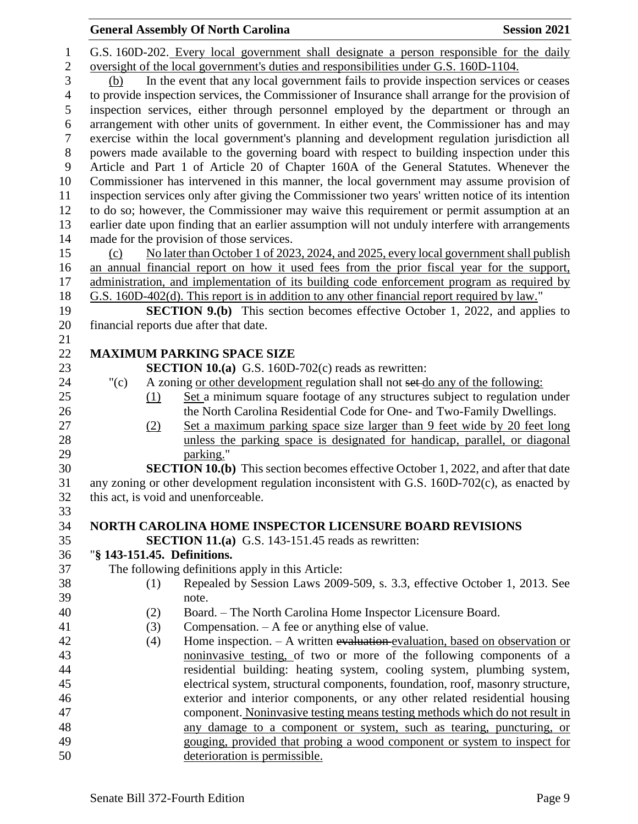|                |                             |     | <b>General Assembly Of North Carolina</b>                                                                                                                                                    | <b>Session 2021</b> |
|----------------|-----------------------------|-----|----------------------------------------------------------------------------------------------------------------------------------------------------------------------------------------------|---------------------|
| $\mathbf{1}$   |                             |     | G.S. 160D-202. Every local government shall designate a person responsible for the daily                                                                                                     |                     |
| $\sqrt{2}$     |                             |     | oversight of the local government's duties and responsibilities under G.S. 160D-1104.                                                                                                        |                     |
| 3              | (b)                         |     | In the event that any local government fails to provide inspection services or ceases                                                                                                        |                     |
| $\overline{4}$ |                             |     | to provide inspection services, the Commissioner of Insurance shall arrange for the provision of                                                                                             |                     |
| $\mathfrak{S}$ |                             |     | inspection services, either through personnel employed by the department or through an                                                                                                       |                     |
| 6              |                             |     | arrangement with other units of government. In either event, the Commissioner has and may                                                                                                    |                     |
| $\overline{7}$ |                             |     | exercise within the local government's planning and development regulation jurisdiction all                                                                                                  |                     |
| $8\,$          |                             |     | powers made available to the governing board with respect to building inspection under this                                                                                                  |                     |
| 9              |                             |     | Article and Part 1 of Article 20 of Chapter 160A of the General Statutes. Whenever the                                                                                                       |                     |
| 10             |                             |     | Commissioner has intervened in this manner, the local government may assume provision of                                                                                                     |                     |
| 11             |                             |     | inspection services only after giving the Commissioner two years' written notice of its intention                                                                                            |                     |
| 12             |                             |     | to do so; however, the Commissioner may waive this requirement or permit assumption at an                                                                                                    |                     |
| 13             |                             |     | earlier date upon finding that an earlier assumption will not unduly interfere with arrangements                                                                                             |                     |
| 14             |                             |     | made for the provision of those services.                                                                                                                                                    |                     |
| 15             | (c)                         |     | No later than October 1 of 2023, 2024, and 2025, every local government shall publish                                                                                                        |                     |
| 16             |                             |     | an annual financial report on how it used fees from the prior fiscal year for the support,                                                                                                   |                     |
| 17             |                             |     | administration, and implementation of its building code enforcement program as required by                                                                                                   |                     |
| 18             |                             |     | G.S. 160D-402(d). This report is in addition to any other financial report required by law."                                                                                                 |                     |
| 19             |                             |     | <b>SECTION 9.(b)</b> This section becomes effective October 1, 2022, and applies to                                                                                                          |                     |
| 20             |                             |     | financial reports due after that date.                                                                                                                                                       |                     |
| 21             |                             |     |                                                                                                                                                                                              |                     |
| 22             |                             |     | <b>MAXIMUM PARKING SPACE SIZE</b>                                                                                                                                                            |                     |
| 23             |                             |     | <b>SECTION 10.(a)</b> G.S. 160D-702(c) reads as rewritten:                                                                                                                                   |                     |
| 24             | " $(c)$                     |     | A zoning or other development regulation shall not set do any of the following:                                                                                                              |                     |
| 25             |                             | (1) | Set a minimum square footage of any structures subject to regulation under                                                                                                                   |                     |
| 26             |                             |     | the North Carolina Residential Code for One- and Two-Family Dwellings.                                                                                                                       |                     |
| 27             |                             | (2) | Set a maximum parking space size larger than 9 feet wide by 20 feet long                                                                                                                     |                     |
| 28             |                             |     | unless the parking space is designated for handicap, parallel, or diagonal                                                                                                                   |                     |
| 29<br>30       |                             |     | parking."                                                                                                                                                                                    |                     |
| 31             |                             |     | <b>SECTION 10.(b)</b> This section becomes effective October 1, 2022, and after that date<br>any zoning or other development regulation inconsistent with G.S. $160D-702(c)$ , as enacted by |                     |
| 32             |                             |     | this act, is void and unenforceable.                                                                                                                                                         |                     |
| 33             |                             |     |                                                                                                                                                                                              |                     |
| 34             |                             |     | <b>NORTH CAROLINA HOME INSPECTOR LICENSURE BOARD REVISIONS</b>                                                                                                                               |                     |
| 35             |                             |     | <b>SECTION 11.(a)</b> G.S. 143-151.45 reads as rewritten:                                                                                                                                    |                     |
| 36             | "§ 143-151.45. Definitions. |     |                                                                                                                                                                                              |                     |
| 37             |                             |     | The following definitions apply in this Article:                                                                                                                                             |                     |
| 38             |                             | (1) | Repealed by Session Laws 2009-509, s. 3.3, effective October 1, 2013. See                                                                                                                    |                     |
| 39             |                             |     | note.                                                                                                                                                                                        |                     |
| 40             |                             | (2) | Board. - The North Carolina Home Inspector Licensure Board.                                                                                                                                  |                     |
| 41             |                             | (3) | Compensation. $- A$ fee or anything else of value.                                                                                                                                           |                     |
| 42             |                             | (4) | Home inspection. $- A$ written evaluation-evaluation, based on observation or                                                                                                                |                     |
| 43             |                             |     | noninvasive testing, of two or more of the following components of a                                                                                                                         |                     |
| 44             |                             |     | residential building: heating system, cooling system, plumbing system,                                                                                                                       |                     |
| 45             |                             |     | electrical system, structural components, foundation, roof, masonry structure,                                                                                                               |                     |
| 46             |                             |     | exterior and interior components, or any other related residential housing                                                                                                                   |                     |
| 47             |                             |     | component. Noninvasive testing means testing methods which do not result in                                                                                                                  |                     |
| 48             |                             |     | any damage to a component or system, such as tearing, puncturing, or                                                                                                                         |                     |
| 49             |                             |     | gouging, provided that probing a wood component or system to inspect for                                                                                                                     |                     |
| 50             |                             |     | deterioration is permissible.                                                                                                                                                                |                     |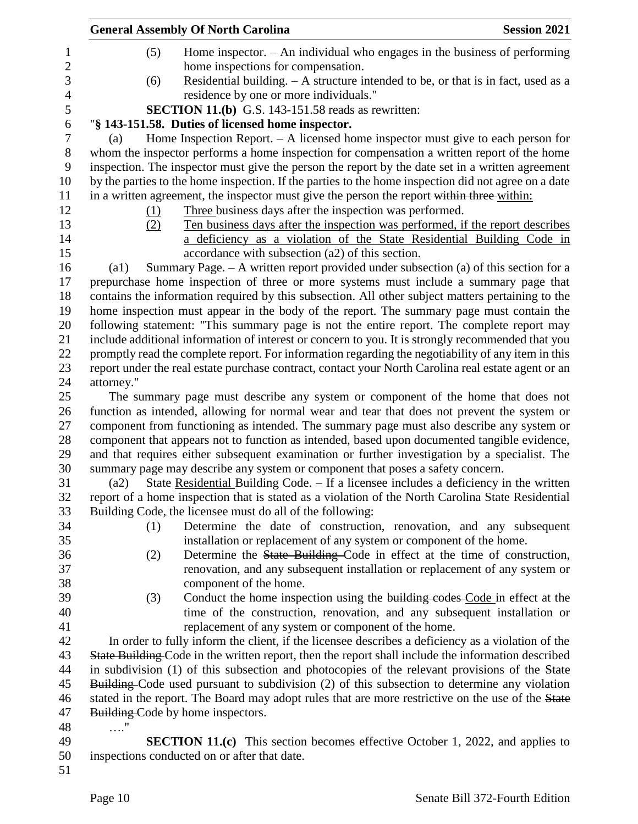|                  | <b>General Assembly Of North Carolina</b>                                                                                       | <b>Session 2021</b> |
|------------------|---------------------------------------------------------------------------------------------------------------------------------|---------------------|
| $\mathbf{1}$     | Home inspector. $-$ An individual who engages in the business of performing<br>(5)                                              |                     |
| $\overline{2}$   | home inspections for compensation.                                                                                              |                     |
| 3                | Residential building. - A structure intended to be, or that is in fact, used as a<br>(6)                                        |                     |
| $\overline{4}$   | residence by one or more individuals."                                                                                          |                     |
| 5                | <b>SECTION 11.(b)</b> G.S. 143-151.58 reads as rewritten:                                                                       |                     |
| 6                | "§ 143-151.58. Duties of licensed home inspector.                                                                               |                     |
| $\boldsymbol{7}$ | Home Inspection Report. $-$ A licensed home inspector must give to each person for<br>(a)                                       |                     |
| 8                | whom the inspector performs a home inspection for compensation a written report of the home                                     |                     |
| 9                | inspection. The inspector must give the person the report by the date set in a written agreement                                |                     |
| 10               | by the parties to the home inspection. If the parties to the home inspection did not agree on a date                            |                     |
| 11               | in a written agreement, the inspector must give the person the report within three within:                                      |                     |
| 12               | Three business days after the inspection was performed.<br>(1)                                                                  |                     |
| 13               | Ten business days after the inspection was performed, if the report describes<br>(2)                                            |                     |
| 14               | a deficiency as a violation of the State Residential Building Code in                                                           |                     |
| 15               | accordance with subsection (a2) of this section.                                                                                |                     |
| 16               | Summary Page. $- A$ written report provided under subsection (a) of this section for a<br>$\left( a1\right)$                    |                     |
| 17               | prepurchase home inspection of three or more systems must include a summary page that                                           |                     |
| 18               | contains the information required by this subsection. All other subject matters pertaining to the                               |                     |
| 19               | home inspection must appear in the body of the report. The summary page must contain the                                        |                     |
| 20               | following statement: "This summary page is not the entire report. The complete report may                                       |                     |
| 21               | include additional information of interest or concern to you. It is strongly recommended that you                               |                     |
| 22               | promptly read the complete report. For information regarding the negotiability of any item in this                              |                     |
| 23               | report under the real estate purchase contract, contact your North Carolina real estate agent or an                             |                     |
| 24               | attorney."                                                                                                                      |                     |
| 25               | The summary page must describe any system or component of the home that does not                                                |                     |
| 26               | function as intended, allowing for normal wear and tear that does not prevent the system or                                     |                     |
| 27               | component from functioning as intended. The summary page must also describe any system or                                       |                     |
| 28               | component that appears not to function as intended, based upon documented tangible evidence,                                    |                     |
| 29               | and that requires either subsequent examination or further investigation by a specialist. The                                   |                     |
| 30               | summary page may describe any system or component that poses a safety concern.                                                  |                     |
| 31               | State Residential Building Code. - If a licensee includes a deficiency in the written<br>(a2)                                   |                     |
| 32               | report of a home inspection that is stated as a violation of the North Carolina State Residential                               |                     |
| 33               | Building Code, the licensee must do all of the following:                                                                       |                     |
| 34               | Determine the date of construction, renovation, and any subsequent<br>(1)                                                       |                     |
| 35               | installation or replacement of any system or component of the home.                                                             |                     |
| 36               | Determine the State Building Code in effect at the time of construction,<br>(2)                                                 |                     |
| 37               | renovation, and any subsequent installation or replacement of any system or                                                     |                     |
| 38               | component of the home.                                                                                                          |                     |
| 39<br>40         | Conduct the home inspection using the building codes Code in effect at the<br>(3)                                               |                     |
| 41               | time of the construction, renovation, and any subsequent installation or<br>replacement of any system or component of the home. |                     |
| 42               | In order to fully inform the client, if the licensee describes a deficiency as a violation of the                               |                     |
| 43               | State Building Code in the written report, then the report shall include the information described                              |                     |
| 44               | in subdivision (1) of this subsection and photocopies of the relevant provisions of the State                                   |                     |
| 45               | Building-Code used pursuant to subdivision (2) of this subsection to determine any violation                                    |                     |
| 46               | stated in the report. The Board may adopt rules that are more restrictive on the use of the State                               |                     |
| 47               | Building-Code by home inspectors.                                                                                               |                     |
| 48               | . "                                                                                                                             |                     |
| 49               | <b>SECTION 11.(c)</b> This section becomes effective October 1, 2022, and applies to                                            |                     |
| 50               | inspections conducted on or after that date.                                                                                    |                     |
| 51               |                                                                                                                                 |                     |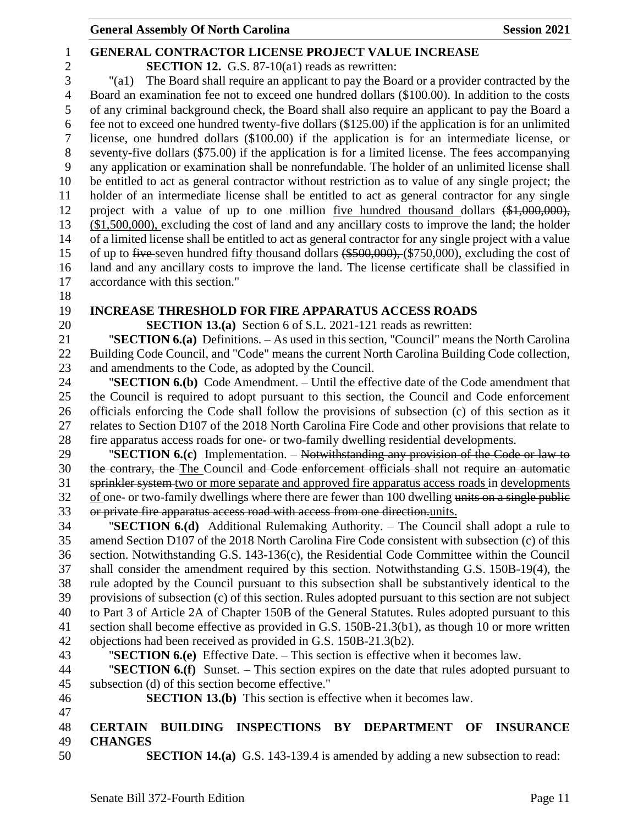## **General Assembly Of North Carolina Session 2021**

## **GENERAL CONTRACTOR LICENSE PROJECT VALUE INCREASE SECTION 12.** G.S. 87-10(a1) reads as rewritten: "(a1) The Board shall require an applicant to pay the Board or a provider contracted by the Board an examination fee not to exceed one hundred dollars (\$100.00). In addition to the costs of any criminal background check, the Board shall also require an applicant to pay the Board a fee not to exceed one hundred twenty-five dollars (\$125.00) if the application is for an unlimited license, one hundred dollars (\$100.00) if the application is for an intermediate license, or seventy-five dollars (\$75.00) if the application is for a limited license. The fees accompanying any application or examination shall be nonrefundable. The holder of an unlimited license shall be entitled to act as general contractor without restriction as to value of any single project; the holder of an intermediate license shall be entitled to act as general contractor for any single project with a value of up to one million five hundred thousand dollars (\$1,000,000), (\$1,500,000), excluding the cost of land and any ancillary costs to improve the land; the holder of a limited license shall be entitled to act as general contractor for any single project with a value 15 of up to five seven hundred fifty thousand dollars (\$500,000), (\$750,000), excluding the cost of land and any ancillary costs to improve the land. The license certificate shall be classified in accordance with this section." **INCREASE THRESHOLD FOR FIRE APPARATUS ACCESS ROADS SECTION 13.(a)** Section 6 of S.L. 2021-121 reads as rewritten: "**SECTION 6.(a)** Definitions. – As used in this section, "Council" means the North Carolina Building Code Council, and "Code" means the current North Carolina Building Code collection, and amendments to the Code, as adopted by the Council. "**SECTION 6.(b)** Code Amendment. – Until the effective date of the Code amendment that the Council is required to adopt pursuant to this section, the Council and Code enforcement officials enforcing the Code shall follow the provisions of subsection (c) of this section as it relates to Section D107 of the 2018 North Carolina Fire Code and other provisions that relate to fire apparatus access roads for one- or two-family dwelling residential developments. "**SECTION 6.(c)** Implementation. – Notwithstanding any provision of the Code or law to 30 the contrary, the The Council and Code enforcement officials shall not require an automatic sprinkler system two or more separate and approved fire apparatus access roads in developments 32 of one- or two-family dwellings where there are fewer than 100 dwelling units on a single public or private fire apparatus access road with access from one direction.units. "**SECTION 6.(d)** Additional Rulemaking Authority. – The Council shall adopt a rule to amend Section D107 of the 2018 North Carolina Fire Code consistent with subsection (c) of this section. Notwithstanding G.S. 143-136(c), the Residential Code Committee within the Council shall consider the amendment required by this section. Notwithstanding G.S. 150B-19(4), the rule adopted by the Council pursuant to this subsection shall be substantively identical to the provisions of subsection (c) of this section. Rules adopted pursuant to this section are not subject to Part 3 of Article 2A of Chapter 150B of the General Statutes. Rules adopted pursuant to this section shall become effective as provided in G.S. 150B-21.3(b1), as though 10 or more written objections had been received as provided in G.S. 150B-21.3(b2). "**SECTION 6.(e)** Effective Date. – This section is effective when it becomes law. "**SECTION 6.(f)** Sunset. – This section expires on the date that rules adopted pursuant to subsection (d) of this section become effective." **SECTION 13.(b)** This section is effective when it becomes law. **CERTAIN BUILDING INSPECTIONS BY DEPARTMENT OF INSURANCE CHANGES SECTION 14.(a)** G.S. 143-139.4 is amended by adding a new subsection to read: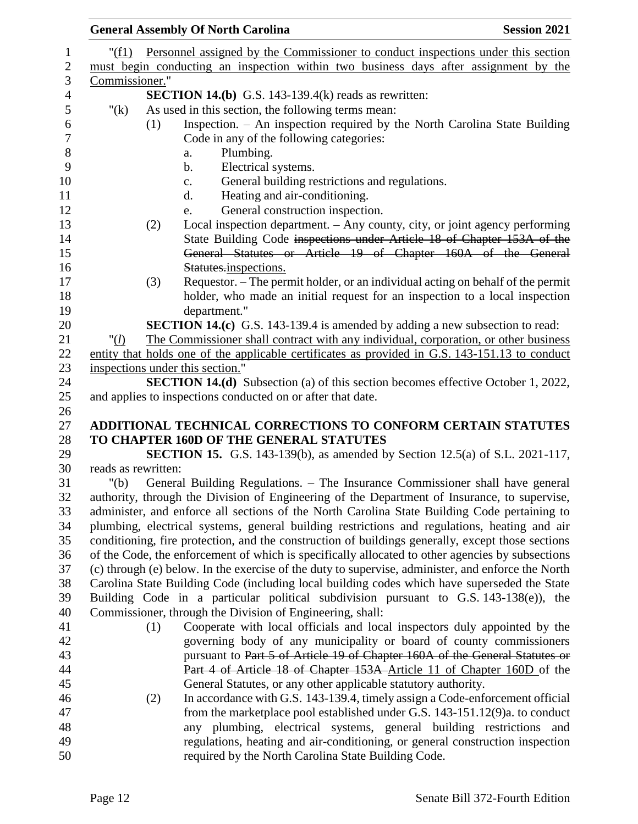|                     | <b>General Assembly Of North Carolina</b><br><b>Session 2021</b>                                                                                                                      |
|---------------------|---------------------------------------------------------------------------------------------------------------------------------------------------------------------------------------|
| " $(f1)$            | Personnel assigned by the Commissioner to conduct inspections under this section                                                                                                      |
|                     | must begin conducting an inspection within two business days after assignment by the                                                                                                  |
| Commissioner."      |                                                                                                                                                                                       |
|                     | <b>SECTION 14.(b)</b> G.S. 143-139.4(k) reads as rewritten:                                                                                                                           |
| " $(k)$             | As used in this section, the following terms mean:                                                                                                                                    |
|                     | Inspection. - An inspection required by the North Carolina State Building<br>(1)                                                                                                      |
|                     | Code in any of the following categories:                                                                                                                                              |
|                     | Plumbing.<br>a.                                                                                                                                                                       |
|                     | Electrical systems.<br>b.                                                                                                                                                             |
|                     | General building restrictions and regulations.<br>c.                                                                                                                                  |
|                     | Heating and air-conditioning.<br>d.                                                                                                                                                   |
|                     | General construction inspection.<br>e.                                                                                                                                                |
|                     | Local inspection department. - Any county, city, or joint agency performing<br>(2)                                                                                                    |
|                     | State Building Code inspections under Article 18 of Chapter 153A of the                                                                                                               |
|                     | General Statutes or Article 19 of Chapter 160A of the General                                                                                                                         |
|                     | Statutes.inspections.                                                                                                                                                                 |
|                     | Requestor. – The permit holder, or an individual acting on behalf of the permit<br>(3)                                                                                                |
|                     | holder, who made an initial request for an inspection to a local inspection                                                                                                           |
|                     | department."                                                                                                                                                                          |
|                     | <b>SECTION 14.(c)</b> G.S. 143-139.4 is amended by adding a new subsection to read:                                                                                                   |
| " $(l)$             | The Commissioner shall contract with any individual, corporation, or other business                                                                                                   |
|                     | entity that holds one of the applicable certificates as provided in G.S. 143-151.13 to conduct                                                                                        |
|                     | inspections under this section."                                                                                                                                                      |
|                     | <b>SECTION 14.(d)</b> Subsection (a) of this section becomes effective October 1, 2022,                                                                                               |
|                     | and applies to inspections conducted on or after that date.                                                                                                                           |
|                     |                                                                                                                                                                                       |
|                     | ADDITIONAL TECHNICAL CORRECTIONS TO CONFORM CERTAIN STATUTES                                                                                                                          |
|                     | TO CHAPTER 160D OF THE GENERAL STATUTES                                                                                                                                               |
|                     | <b>SECTION 15.</b> G.S. 143-139(b), as amended by Section 12.5(a) of S.L. 2021-117,                                                                                                   |
| reads as rewritten: |                                                                                                                                                                                       |
| " $(b)$             | General Building Regulations. – The Insurance Commissioner shall have general                                                                                                         |
|                     | authority, through the Division of Engineering of the Department of Insurance, to supervise,                                                                                          |
|                     | administer, and enforce all sections of the North Carolina State Building Code pertaining to                                                                                          |
|                     | plumbing, electrical systems, general building restrictions and regulations, heating and air                                                                                          |
|                     | conditioning, fire protection, and the construction of buildings generally, except those sections                                                                                     |
|                     | of the Code, the enforcement of which is specifically allocated to other agencies by subsections                                                                                      |
|                     | (c) through (e) below. In the exercise of the duty to supervise, administer, and enforce the North                                                                                    |
|                     | Carolina State Building Code (including local building codes which have superseded the State<br>Building Code in a particular political subdivision pursuant to G.S. 143-138(e)), the |
|                     | Commissioner, through the Division of Engineering, shall:                                                                                                                             |
|                     | Cooperate with local officials and local inspectors duly appointed by the                                                                                                             |
|                     | (1)<br>governing body of any municipality or board of county commissioners                                                                                                            |
|                     | pursuant to Part 5 of Article 19 of Chapter 160A of the General Statutes or                                                                                                           |
|                     | Part 4 of Article 18 of Chapter 153A Article 11 of Chapter 160D of the                                                                                                                |
|                     | General Statutes, or any other applicable statutory authority.                                                                                                                        |
|                     | In accordance with G.S. 143-139.4, timely assign a Code-enforcement official                                                                                                          |
|                     | (2)<br>from the marketplace pool established under G.S. 143-151.12(9)a. to conduct                                                                                                    |
|                     | any plumbing, electrical systems, general building restrictions and                                                                                                                   |
|                     | regulations, heating and air-conditioning, or general construction inspection                                                                                                         |
|                     | required by the North Carolina State Building Code.                                                                                                                                   |
|                     |                                                                                                                                                                                       |